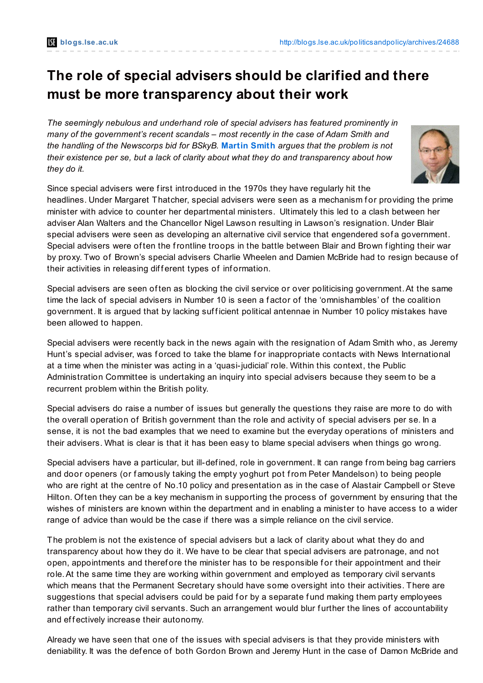## **The role of special advisers should be clarified and there must be more transparency about their work**

*The seemingly nebulous and underhand role of special advisers has featured prominently in many of the government's recent scandals – most recently in the case of Adam Smith and the handling of the Newscorps bid for BSkyB.* **[Martin](http://blogs.lse.ac.uk/politicsandpolicy/?p=24688#Author) Smith** *argues that the problem is not their existence per se, but a lack of clarity about what they do and transparency about how they do it.*



Since special advisers were f irst introduced in the 1970s they have regularly hit the headlines. Under Margaret Thatcher, special advisers were seen as a mechanism for providing the prime minister with advice to counter her departmental ministers. Ultimately this led to a clash between her adviser Alan Walters and the Chancellor Nigel Lawson resulting in Lawson's resignation. Under Blair special advisers were seen as developing an alternative civil service that engendered sof a government. Special advisers were of ten the frontline troops in the battle between Blair and Brown f ighting their war by proxy. Two of Brown's special advisers Charlie Wheelen and Damien McBride had to resign because of their activities in releasing different types of information.

Special advisers are seen of ten as blocking the civil service or over politicising government. At the same time the lack of special advisers in Number 10 is seen a f actor of the 'omnishambles' of the coalition government. It is argued that by lacking sufficient political antennae in Number 10 policy mistakes have been allowed to happen.

Special advisers were recently back in the news again with the resignation of Adam Smith who, as Jeremy Hunt's special adviser, was forced to take the blame for inappropriate contacts with News International at a time when the minister was acting in a 'quasi-judicial' role. Within this context, the Public Administration Committee is undertaking an inquiry into special advisers because they seem to be a recurrent problem within the British polity.

Special advisers do raise a number of issues but generally the questions they raise are more to do with the overall operation of British government than the role and activity of special advisers per se. In a sense, it is not the bad examples that we need to examine but the everyday operations of ministers and their advisers. What is clear is that it has been easy to blame special advisers when things go wrong.

Special advisers have a particular, but ill-def ined, role in government. It can range from being bag carriers and door openers (or famously taking the empty yoghurt pot from Peter Mandelson) to being people who are right at the centre of No.10 policy and presentation as in the case of Alastair Campbell or Steve Hilton. Of ten they can be a key mechanism in supporting the process of government by ensuring that the wishes of ministers are known within the department and in enabling a minister to have access to a wider range of advice than would be the case if there was a simple reliance on the civil service.

The problem is not the existence of special advisers but a lack of clarity about what they do and transparency about how they do it. We have to be clear that special advisers are patronage, and not open, appointments and therefore the minister has to be responsible for their appointment and their role.At the same time they are working within government and employed as temporary civil servants which means that the Permanent Secretary should have some oversight into their activities. There are suggestions that special advisers could be paid for by a separate fund making them party employees rather than temporary civil servants. Such an arrangement would blur further the lines of accountability and effectively increase their autonomy.

Already we have seen that one of the issues with special advisers is that they provide ministers with deniability. It was the def ence of both Gordon Brown and Jeremy Hunt in the case of Damon McBride and